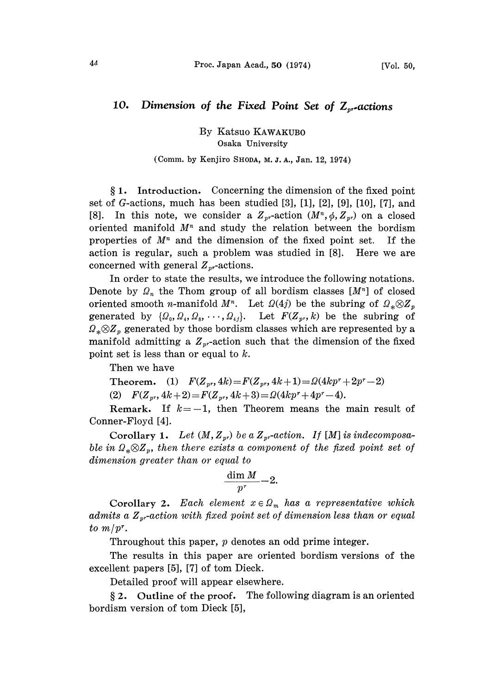## 10. Dimension of the Fixed Point Set of  $Z_{n}$ -actions

By Katsuo KAWAKUB0 Osaka University

## (Comm. by Kenjiro SHODA, M. J. A., Jan. 12, 1974)

1. Introduction. Concerning the dimension of the fixed point set of *G*-actions, much has been studied  $[3]$ ,  $[1]$ ,  $[2]$ ,  $[9]$ ,  $[10]$ ,  $[7]$ , and [8]. In this note, we consider a  $Z_{pr}$ -action  $(M^n, \phi, Z_{pr})$  on a closed oriented manifold  $M<sup>n</sup>$  and study the relation between the bordism properties of  $M<sup>n</sup>$  and the dimension of the fixed point set. If the action is regular, such a problem was studied in [8]. Here we are concerned with general  $Z_{pr}$ -actions.

In order to state the results, we introduce the following notations. Denote by  $\Omega_n$  the Thom group of all bordism classes  $[M^n]$  of closed oriented smooth *n*-manifold  $M^n$ . Let  $\Omega(4j)$  be the subring of  $\Omega_* \otimes Z_n$ generated by  $\{\Omega_0, \Omega_4, \Omega_8, \cdots, \Omega_{4j}\}.$  Let  $F(Z_{pr}, k)$  be the subring of  $\Omega_* \otimes Z_p$  generated by those bordism classes which are represented by a manifold admitting a  $Z_{pr}$ -action such that the dimension of the fixed point set is less than or equal to  $k$ .

Then we have

Theorem. (1)  $F(Z_{pr}, 4k) = F(Z_{pr}, 4k+1) = \Omega(4kp^r + 2p^r - 2)$ <br>(2)  $F(Z_{pr}, 4k+2) = F(Z_{pr}, 4k+3) = \Omega(4kp^r + 4p^r - 4).$  $+ 2p$ <br> $.$ mai (2)  $F(Z_{pr}, 4k+2) = F(Z_{pr}, 4k+3) = \Omega(4kp^r + 4p^r - 4).$ 

 $+4p^r-4$ ).<br>
eans the Remark. If  $k=-1$ , then Theorem means the main result of Conner-Floyd [4].

Corollary 1. Let  $(M, Z_{pr})$  be a  $Z_{pr}$ -action. If [M] is indecomposable in  $\Omega_* \otimes Z_p$ , then there exists a component of the fixed point set of dimension greater than or equal to<br>  $\frac{\dim M}{p^r} - 2.$ 

$$
\frac{\dim M}{p^r}-2.
$$

Corollary 2. Each element  $x \in \Omega_m$  has a representative which admits a  $Z_{pr}$ -action with fixed point set of dimension less than or equal to  $m/pr$ .

Throughout this paper, p denotes an odd prime integer.

The results in this paper are oriented bordism versions of the excellent papers [5], [7] of tom Dieck.

Detailed proof will appear elsewhere.

 $§ 2.$  Outline of the proof. The following diagram is an oriented bordism version of tom Dieck [5],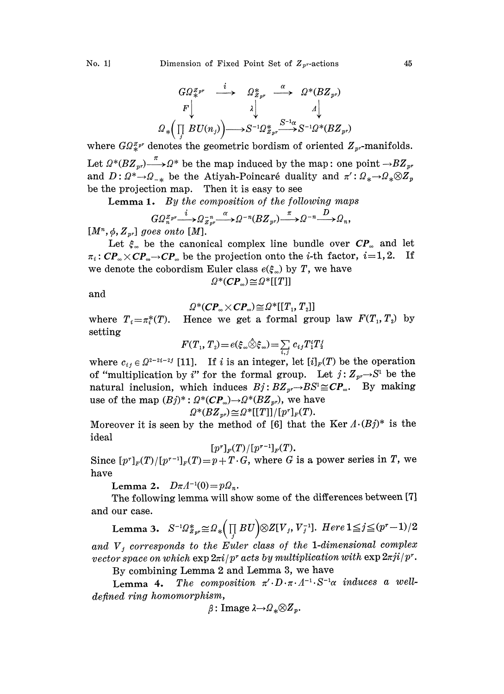$$
G\Omega_{*}^{Z_{pr}} \xrightarrow{i} \Omega_{Z_{pr}}^{*} \xrightarrow{\alpha} \Omega^{*}(BZ_{pr})
$$
  
\n
$$
P \downarrow \qquad \qquad \lambda \downarrow \qquad \qquad \Lambda \downarrow
$$
  
\n
$$
\Omega_{*} \Big( \prod_{j} BU(n_{j}) \Big) \longrightarrow S^{-1} \Omega_{Z_{pr}}^{*} \xrightarrow{S^{-1} \alpha} S^{-1} \Omega^{*} (BZ_{pr})
$$

where  $GQ_{*}^{Z_{p^r}}$  denotes the geometric bordism of oriented  $Z_{p^r}$ -manifolds. Let  $\Omega^*(BZ_{pr}) \longrightarrow \Omega^*$  be the map induced by the map: one point  $\rightarrow BZ_{pr}$ and  $D: \Omega^* \to \Omega_{-*}$  be the Atiyah-Poincaré duality and  $\pi': \Omega_* \to \Omega_* \otimes Z_p$ be the projection map. Then it is easy to see

**Lemma 1.** By the composition of the following maps  

$$
G\Omega_n^{Z_{pr}} \xrightarrow{i} \Omega_{z_r^n}^{-n} \longrightarrow \Omega^{-n} (B Z_{pr}) \xrightarrow{\pi} \Omega^{-n} \longrightarrow \Omega_n,
$$

 $[M^n, \phi, Z_{pr}]$  goes onto [M].

Let  $\xi_{\infty}$  be the canonical complex line bundle over  $\mathbb{CP}_{\infty}$  and let  $\pi_i \colon CP_{\infty}{\times} CP_{\infty}{\rightarrow} CP_{\infty}$  be the projection onto the *i*-th factom we denote the cobordism Euler class  $e(\xi_{\infty})$  by T, we have  $\pi_i$ :  $\mathbb{CP}_{\infty} \times \mathbb{CP}_{\infty} \to \mathbb{CP}_{\infty}$  be the projection onto the *i*-th factor, *i*=1,2. If

$$
\varOmega^*(\pmb{C}\pmb{P}_\infty)\!\cong\!\varOmega^*[[T]]
$$

and

$$
\Omega^*(\mathbf{CP}_\infty \times \mathbf{CP}_\infty) \cong \Omega^*[[T_1, T_2]]
$$

 $\Omega^*(CP_\infty \times CP_\infty) \cong \Omega^*[T_1, T_2]$ <br>where  $T_i = \pi_i^*(T)$ . Hence we get a formal group law  $F(T_1, T_2)$  by setting

$$
F(T_1, T_2) = e(\xi_{\infty} \hat{\otimes} \xi_{\infty}) = \sum_{i,j} c_{ij} T_1^i T_2^j
$$

where  $c_{ij} \in \Omega^{2-2i-2j}$  [11]. If *i* is an integer, let  $[i]_F(T)$  be the operation<br>of "multiplication by *i*" for the formal group. Let  $j: Z_{pr} \to S^1$  be the<br>natural inclusion, which induces  $R_i: RZ \to RS^1 \sim CP$ . By making of "multiplication by i" for the formal group. Let  $j:Z_{pr}\rightarrow S^{1}$  be the natural inclusion, which induces  $Bj: BZ_{pr} \to BS^1 \cong CP_\infty$ . By making use of the map  $(Bj)^*: \Omega^*(CP_\infty) {\rightarrow} \Omega^*(BZ_{pr})$ , we have

$$
\Omega^*(BZ_{pr})\!\cong\!\Omega^*[[T]]/[p^r]_F(T).
$$

 $\mathcal{Q}^*(B\mathbf{Z}_{pr}) \cong \mathcal{Q}^*[[T]]/[p^r]_F(T).$ <br>Moreover it is seen by the method of [6] that the Ker  $A \cdot (Bj)^*$  is the ideal

$$
[p^r]_{{\scriptscriptstyle F}}(T)/[p^{r-1}]_{{\scriptscriptstyle F}}(T).
$$

Since  $[p^r]_F(T)/[p^{r-1}]_F(T)=p+T\cdot G$ , where G is a power series in T, we have

Lemma 2.  $D \pi A^{-1}(0) = p \Omega_n$ .

The following lemma will show some of the differences between [7] and our case.

Lemma 3.  $S^{-1} \Omega_{Z_{pr}}^* \cong \Omega_* \Big( \prod_j BU \Big) \otimes Z[V_j, V_j^{-1}].$  Here  $1 \leq j \leq (p^r-1)/2$ and  $V_j$  corresponds to the Euler class of the 1-dimensional complex vector space on which  $\exp 2\pi i/p^r$  acts by multiplication with  $\exp 2\pi i/p^r$ .

By combining Lemma <sup>2</sup> and Lemma 3, we have

Lemma 4. The composition  $\pi' \cdot D \cdot \pi \cdot \Lambda^{-1} \cdot S^{-1} \alpha$  induces a welldefined ring homomorphism,

$$
\beta\colon \text{Image } \lambda \to \Omega_* \otimes Z_p.
$$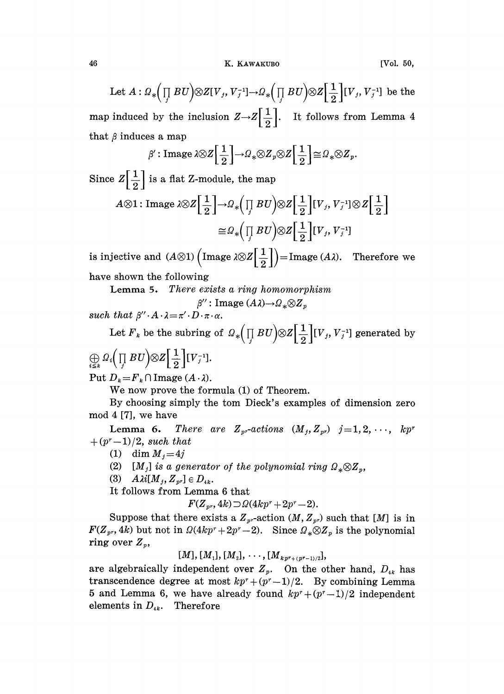Let  $A: \Omega_*\Big(\prod_j BU\Big) \otimes Z[V_j, V_j^{-1}] \to \Omega_*\Big(\prod_j BU\Big) \otimes Z\Big[\frac{1}{2}\Big][V_j, V_j^{-1}]$  be the map induced by the inclusion  $Z \rightarrow Z\left[\frac{1}{2}\right]$ . It follows from Lemma 4 that  $\beta$  induces a map

$$
\beta': \text{Image } \lambda \otimes Z\Big[\,\frac{1}{2}\,\Big] \to \Omega_* \otimes Z_p \otimes Z\Big[\,\frac{1}{2}\,\Big] \cong \Omega_* \otimes Z_p.
$$

Since  $Z\left[\frac{1}{2}\right]$  is a flat Z-module, the map

$$
A \otimes 1: \text{Image } \lambda \otimes Z \Big[ \frac{1}{2} \Big] \to \Omega_* \Big( \prod_j BU \Big) \otimes Z \Big[ \frac{1}{2} \Big] [V_j, V_j^{-1}] \otimes Z \Big[ \frac{1}{2} \Big] \\ \cong \Omega_* \Big( \prod_j BU \Big) \otimes Z \Big[ \frac{1}{2} \Big] [V_j, V_j^{-1}]
$$

is injective and  $(A\otimes 1)$   $\left(\text{Image }\lambda\otimes \mathbb{Z}\left[\frac{1}{2}\right]\right)=\text{Image } (A\lambda)$ . Therefore we

have shown the following

Lemma 5. There exists a ring homomorphism

 $\beta''$ : Image  $(A\lambda) \rightarrow Q_* \otimes Z_n$ such that  $\beta'' \cdot A \cdot \lambda = \pi' \cdot D \cdot \pi \cdot \alpha$ .

Let  $\overline{F}_k$  be the subring of  $\mathcal{Q}_* \Big( \prod\limits_j BU \Big) \otimes Z \Big[ \frac{1}{2} \Big] [V_j, V_j^{-1}]$  generated by

$$
\bigoplus_{i\leq k} \varOmega_i \Bigl( \prod_j B U \Bigr) \otimes Z \Bigl[ \dfrac{1}{2} \Bigr] [V_j^{-1}].
$$

Put  $D_k = F_k \cap \text{Image } (A \cdot \lambda)$ .

We now prove the formula  $(1)$  of Theorem.

By choosing simply the tom Dieck's examples of dimension zero mod 4 [7], we have

**Lemma 6.** There are  $Z_{pr}$ -actions  $(M_i, Z_{pr})$   $j=1, 2, \cdots, kp^r$  $+(p<sup>r</sup>-1)/2$ , such that

(1) dim  $M_i=4j$ 

(2) [M<sub>j</sub>] is a generator of the polynomial ring  $\Omega_* \otimes Z_n$ ,

(3)  $A\lambda i[M_{j}, Z_{pr}] \in D_{4k}.$ 

It follows from Lemma 6 that

 $F(Z_{pr}, 4k) \supset Q(4kp^r + 2p^r - 2).$ 

Suppose that there exists a  $Z_{pr}$ -action  $(M, Z_{pr})$  such that  $[M]$  is in  $F(Z_{pr}, 4k)$  but not in  $\Omega(4kp^r+2p^r-2)$ . Since  $\Omega_*\otimes Z_p$  is the polynomial ring over  $Z_p$ ,

 $[M], [M_1], [M_2], \cdots, [M_{kpr+(pr-1)/2}],$ 

are algebraically independent over  $Z_p$ . On the other hand,  $D_{ik}$  has transcendence degree at most  $kp^r + (p^r - 1)/2$ . By combining Lemma 5 and Lemma 6, we have already found  $kp^r+(p^r-1)/2$  independent elements in  $D_{ik}$ . Therefore